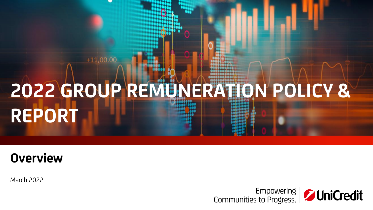# **2022 GROUP REMUNERATION POLICY & REPORT**

# **Overview**

 $+11,00.00$ 

March 2022

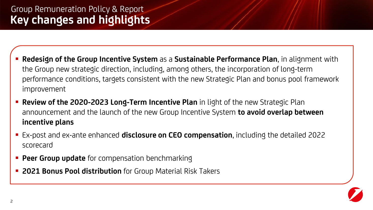- **Redesign of the Group Incentive System** as a **Sustainable Performance Plan**, in alignment with the Group new strategic direction, including, among others, the incorporation of long-term performance conditions, targets consistent with the new Strategic Plan and bonus pool framework improvement
- **E** Review of the 2020-2023 Long-Term Incentive Plan in light of the new Strategic Plan announcement and the launch of the new Group Incentive System **to avoid overlap between incentive plans**
- Ex-post and ex-ante enhanced **disclosure on CEO compensation**, including the detailed 2022 scorecard
- **Peer Group update** for compensation benchmarking
- **EX 2021 Bonus Pool distribution** for Group Material Risk Takers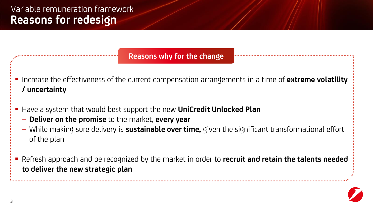**Reasons why for the change**

- Increase the effectiveness of the current compensation arrangements in a time of **extreme volatility / uncertainty**
- Have a system that would best support the new **UniCredit Unlocked Plan**
	- **Deliver on the promise** to the market, **every year**
	- While making sure delivery is **sustainable over time,** given the significant transformational effort of the plan
- Refresh approach and be recognized by the market in order to **recruit and retain the talents needed to deliver the new strategic plan**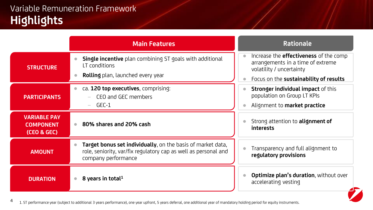#### **Highlights** Variable Remuneration Framework

**4**

|                                                        | <b>Main Features</b>                                                                                                                                  | <b>Rationale</b>                                                                                               |
|--------------------------------------------------------|-------------------------------------------------------------------------------------------------------------------------------------------------------|----------------------------------------------------------------------------------------------------------------|
| <b>STRUCTURE</b>                                       | <b>Single incentive</b> plan combining ST goals with additional<br>LT conditions<br><b>Rolling</b> plan, launched every year                          | Increase the <b>effectiveness</b> of the comp<br>arrangements in a time of extreme<br>volatility / uncertainty |
|                                                        |                                                                                                                                                       | Focus on the sustainability of results                                                                         |
| <b>PARTICIPANTS</b>                                    | ca. 120 top executives, comprising:<br>CEO and GEC members                                                                                            | Stronger individual impact of this<br>population on Group LT KPIs                                              |
|                                                        | GEC-1                                                                                                                                                 | Alignment to <b>market practice</b>                                                                            |
| <b>VARIABLE PAY</b><br><b>COMPONENT</b><br>(CEO & GEC) | 80% shares and 20% cash                                                                                                                               | Strong attention to <b>alignment of</b><br>interests                                                           |
| <b>AMOUNT</b>                                          | Target bonus set individually, on the basis of market data,<br>role, seniority, var/fix regulatory cap as well as personal and<br>company performance | Transparency and full alignment to<br>regulatory provisions                                                    |
| <b>DURATION</b>                                        | 8 years in total <sup>1</sup>                                                                                                                         | Optimize plan's duration, without over<br>accelerating vesting                                                 |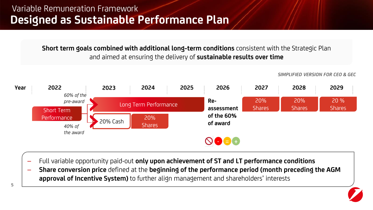**Short term goals combined with additional long-term conditions** consistent with the Strategic Plan and aimed at ensuring the delivery of **sustainable results over time**

– Full variable opportunity paid-out **only upon achievement of ST and LT performance conditions**

– **Share conversion price** defined at the **beginning of the performance period (month preceding the AGM approval of Incentive System)** to further align management and shareholders' interests

*SIMPLIFIED VERSION FOR CEO & GEC*

**Year 2022 2023 2024 2025 2026 2027 2028 2029** *60% of the*  **Re-**20% 20% 20 % *pre-award*  Long Term Performance Shares **Shares** Shares **assessment**  Short Term **of the 60% Performance** 20% Cash  $\begin{bmatrix} 20\% & 20\% \\ 20\% & 20\% \end{bmatrix}$ **of award Shares** *40% of the award* NOOO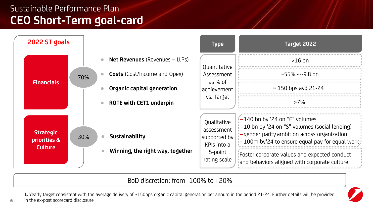### **CEO Short-Term goal-card** Sustainable Performance Plan

**6**



BoD discretion: from -100% to +20%

**1.** Yearly target consistent with the average delivery of ~150bps organic capital generation per annum in the period 21-24. Further details will be provided in the ex-post scorecard disclosure

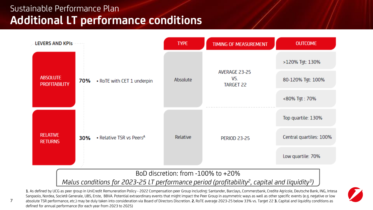### **Additional LT performance conditions** Sustainable Performance Plan

**7**



#### BoD discretion: from -100% to +20%

*Malus conditions for 2023-25 LT performance period (profitability<sup>2</sup> , capital and liquidity<sup>3</sup> )*

**1**. As defined by UCG as peer group in UniCredit Remuneration Policy - 2022 Compensation peer Group including: Santander, Barclays, Commerzbank, Credite Agricole, Deutsche Bank, ING, Intesa Sanpaolo, Nordea, Societè Generale, UBS, Erste, BBVA. Potential extraordinary events that might impact the Peer Group in asymmetric ways as well as other specific events (e.g. negative or low absolute TSR performance, etc.) may be duly taken into consideration via Board of Directors Discretion. **2.** RoTE average 2023-25 below 33% vs. Target 22 **3.** Capital and liquidity conditions as defined for annual performance (for each year from 2023 to 2025)

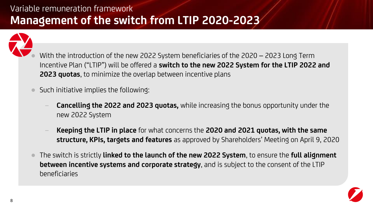### **Management of the switch from LTIP 2020-2023** Variable remuneration framework



- With the introduction of the new 2022 System beneficiaries of the 2020 2023 Long Term Incentive Plan ("LTIP") will be offered a **switch to the new 2022 System for the LTIP 2022 and 2023 quotas**, to minimize the overlap between incentive plans
- Such initiative implies the following:
	- **Cancelling the 2022 and 2023 quotas,** while increasing the bonus opportunity under the new 2022 System
	- − **Keeping the LTIP in place** for what concerns the **2020 and 2021 quotas, with the same structure, KPIs, targets and features** as approved by Shareholders' Meeting on April 9, 2020
- The switch is strictly **linked to the launch of the new 2022 System**, to ensure the **full alignment between incentive systems and corporate strategy**, and is subject to the consent of the LTIP beneficiaries

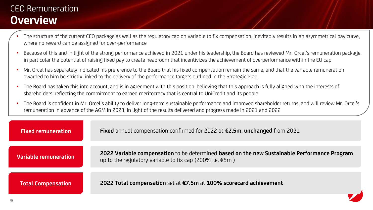#### **Overview**  CEO Remuneration

- The structure of the current CEO package as well as the regulatory cap on variable to fix compensation, inevitably results in an asymmetrical pay curve, where no reward can be assigned for over-performance
- Because of this and In light of the strong performance achieved in 2021 under his leadership, the Board has reviewed Mr. Orcel's remuneration package, in particular the potential of raising fixed pay to create headroom that incentivizes the achievement of overperformance within the EU cap
- Mr. Orcel has separately indicated his preference to the Board that his fixed compensation remain the same, and that the variable remuneration awarded to him be strictly linked to the delivery of the performance targets outlined in the Strategic Plan
- The Board has taken this into account, and is in agreement with this position, believing that this approach is fully aligned with the interests of shareholders, reflecting the commitment to earned meritocracy that is central to UniCredit and its people
- The Board is confident in Mr. Orcel's ability to deliver long-term sustainable performance and improved shareholder returns, and will review Mr. Orcel's remuneration in advance of the AGM in 2023, in light of the results delivered and progress made in 2021 and 2022

| <b>Fixed remuneration</b>    | Fixed annual compensation confirmed for 2022 at €2.5m, unchanged from 2021                                                                                |
|------------------------------|-----------------------------------------------------------------------------------------------------------------------------------------------------------|
|                              |                                                                                                                                                           |
| <b>Variable remuneration</b> | 2022 Variable compensation to be determined based on the new Sustainable Performance Program,<br>up to the regulatory variable to fix cap (200% i.e. €5m) |
|                              |                                                                                                                                                           |
| <b>Total Compensation</b>    | 2022 Total compensation set at €7.5m at 100% scorecard achievement                                                                                        |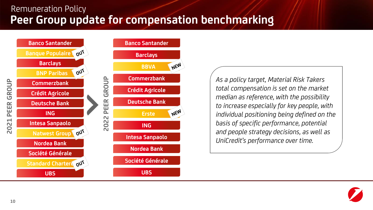#### **Peer Group update for compensation benchmarking** Remuneration Policy



*As a policy target, Material Risk Takers total compensation is set on the market median as reference, with the possibility to increase especially for key people, with individual positioning being defined on the basis of specific performance, potential and people strategy decisions, as well as UniCredit's performance over time.*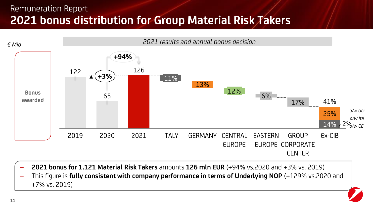#### **2021 bonus distribution for Group Material Risk Takers** Remuneration Report



- **2021 bonus for 1.121 Material Risk Takers** amounts **126 mln EUR** (+94% vs.2020 and +3% vs. 2019)
- This figure is **fully consistent with company performance in terms of Underlying NOP** (+129% vs.2020 and +7% vs. 2019)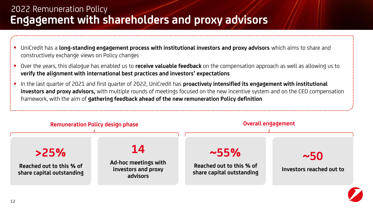#### **Engagement with shareholders and proxy advisors** 2022 Remuneration Policy

- UniCredit has a **long-standing engagement process with institutional investors and proxy advisors** which aims to share and constructively exchange views on Policy changes
- Over the years, this dialogue has enabled us to **receive valuable feedback** on the compensation approach as well as allowing us to **verify the alignment with international best practices and investors' expectations**
- In the last quarter of 2021 and first quarter of 2022, UniCredit has **proactively intensified its engagement with institutional investors and proxy advisors,** with multiple rounds of meetings focused on the new incentive system and on the CEO compensation framework, with the aim of **gathering feedback ahead of the new remuneration Policy definition**

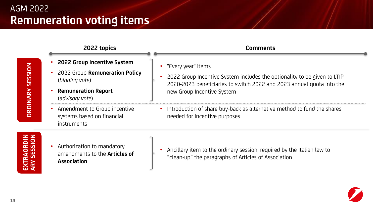

**EXTRAORDIN ARY SESSION**

• Authorization to mandatory amendments to the **Articles of Association**

• Ancillary item to the ordinary session, required by the Italian law to "clean-up" the paragraphs of Articles of Association